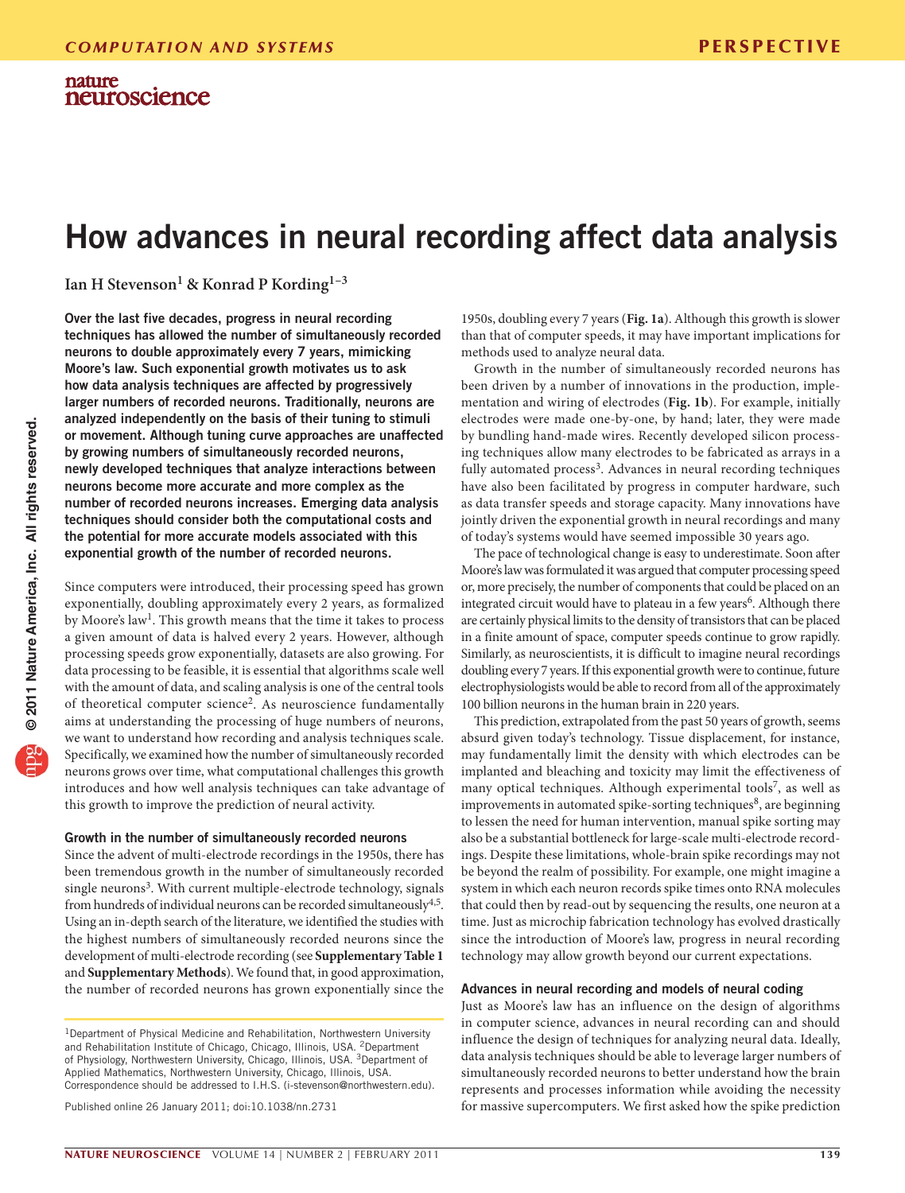# How advances in neural recording affect data analysis

**Ian H Stevenson1 & Konrad P Kording1–3**

Over the last five decades, progress in neural recording techniques has allowed the number of simultaneously recorded neurons to double approximately every 7 years, mimicking Moore's law. Such exponential growth motivates us to ask how data analysis techniques are affected by progressively larger numbers of recorded neurons. Traditionally, neurons are analyzed independently on the basis of their tuning to stimuli or movement. Although tuning curve approaches are unaffected by growing numbers of simultaneously recorded neurons, newly developed techniques that analyze interactions between neurons become more accurate and more complex as the number of recorded neurons increases. Emerging data analysis techniques should consider both the computational costs and the potential for more accurate models associated with this exponential growth of the number of recorded neurons.

Since computers were introduced, their processing speed has grown exponentially, doubling approximately every 2 years, as formalized by Moore's law<sup>1</sup>. This growth means that the time it takes to process a given amount of data is halved every 2 years. However, although processing speeds grow exponentially, datasets are also growing. For data processing to be feasible, it is essential that algorithms scale well with the amount of data, and scaling analysis is one of the central tools of theoretical computer science<sup>[2](#page-3-1)</sup>. As neuroscience fundamentally aims at understanding the processing of huge numbers of neurons, we want to understand how recording and analysis techniques scale. Specifically, we examined how the number of simultaneously recorded neurons grows over time, what computational challenges this growth introduces and how well analysis techniques can take advantage of this growth to improve the prediction of neural activity.

### Growth in the number of simultaneously recorded neurons

Since the advent of multi-electrode recordings in the 1950s, there has been tremendous growth in the number of simultaneously recorded single neurons<sup>3</sup>. With current multiple-electrode technology, signals from hundreds of individual neurons can be recorded simultaneously<sup>4,5</sup>. Using an in-depth search of the literature, we identified the studies with the highest numbers of simultaneously recorded neurons since the development of multi-electrode recording (see **Supplementary Table 1** and **Supplementary Methods**). We found that, in good approximation, the number of recorded neurons has grown exponentially since the

Published online 26 January 2011; [doi:10.1038/nn.2731](http://www.nature.com/doifinder/10.1038/nn.2731)

1950s, doubling every 7 years (**[Fig. 1a](#page-1-0)**). Although this growth is slower than that of computer speeds, it may have important implications for methods used to analyze neural data.

Growth in the number of simultaneously recorded neurons has been driven by a number of innovations in the production, implementation and wiring of electrodes (**[Fig. 1b](#page-1-0)**). For example, initially electrodes were made one-by-one, by hand; later, they were made by bundling hand-made wires. Recently developed silicon processing techniques allow many electrodes to be fabricated as arrays in a fully automated process<sup>[3](#page-3-2)</sup>. Advances in neural recording techniques have also been facilitated by progress in computer hardware, such as data transfer speeds and storage capacity. Many innovations have jointly driven the exponential growth in neural recordings and many of today's systems would have seemed impossible 30 years ago.

The pace of technological change is easy to underestimate. Soon after Moore's law was formulated it was argued that computer processing speed or, more precisely, the number of components that could be placed on an integrated circuit would have to plateau in a few years<sup>6</sup>. Although there are certainly physical limits to the density of transistors that can be placed in a finite amount of space, computer speeds continue to grow rapidly. Similarly, as neuroscientists, it is difficult to imagine neural recordings doubling every 7 years. If this exponential growth were to continue, future electrophysiologists would be able to record from all of the approximately 100 billion neurons in the human brain in 220 years.

This prediction, extrapolated from the past 50 years of growth, seems absurd given today's technology. Tissue displacement, for instance, may fundamentally limit the density with which electrodes can be implanted and bleaching and toxicity may limit the effectiveness of many optical techniques. Although experimental tools<sup>7</sup>, as well as improvements in automated spike-sorting techniques<sup>[8](#page-3-5)</sup>, are beginning to lessen the need for human intervention, manual spike sorting may also be a substantial bottleneck for large-scale multi-electrode recordings. Despite these limitations, whole-brain spike recordings may not be beyond the realm of possibility. For example, one might imagine a system in which each neuron records spike times onto RNA molecules that could then by read-out by sequencing the results, one neuron at a time. Just as microchip fabrication technology has evolved drastically since the introduction of Moore's law, progress in neural recording technology may allow growth beyond our current expectations.

### Advances in neural recording and models of neural coding

Just as Moore's law has an influence on the design of algorithms in computer science, advances in neural recording can and should influence the design of techniques for analyzing neural data. Ideally, data analysis techniques should be able to leverage larger numbers of simultaneously recorded neurons to better understand how the brain represents and processes information while avoiding the necessity for massive supercomputers. We first asked how the spike prediction

<sup>&</sup>lt;sup>1</sup>Department of Physical Medicine and Rehabilitation, Northwestern University and Rehabilitation Institute of Chicago, Chicago, Illinois, USA. 2Department of Physiology, Northwestern University, Chicago, Illinois, USA. <sup>3</sup>Department of Applied Mathematics, Northwestern University, Chicago, Illinois, USA. Correspondence should be addressed to I.H.S. (i-stevenson@northwestern.edu).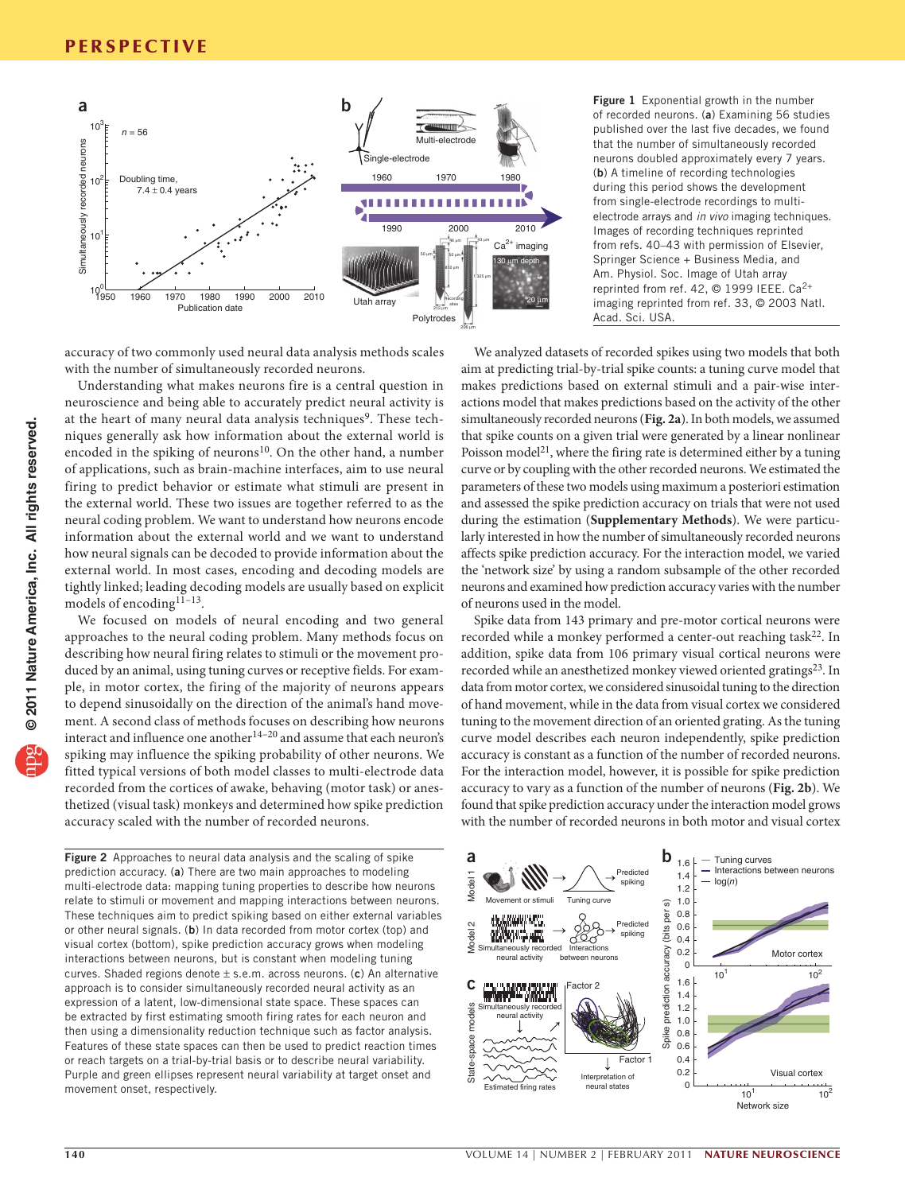

accuracy of two commonly used neural data analysis methods scales with the number of simultaneously recorded neurons.

Understanding what makes neurons fire is a central question in neuroscience and being able to accurately predict neural activity is at the heart of many neural data analysis techniques<sup>9</sup>. These techniques generally ask how information about the external world is encoded in the spiking of neurons<sup>10</sup>. On the other hand, a number of applications, such as brain-machine interfaces, aim to use neural firing to predict behavior or estimate what stimuli are present in the external world. These two issues are together referred to as the neural coding problem. We want to understand how neurons encode information about the external world and we want to understand how neural signals can be decoded to provide information about the external world. In most cases, encoding and decoding models are tightly linked; leading decoding models are usually based on explicit models of encoding $1\overline{1}$ –13.

We focused on models of neural encoding and two general approaches to the neural coding problem. Many methods focus on describing how neural firing relates to stimuli or the movement produced by an animal, using tuning curves or receptive fields. For example, in motor cortex, the firing of the majority of neurons appears to depend sinusoidally on the direction of the animal's hand movement. A second class of methods focuses on describing how neurons interact and influence one another $14-20$  and assume that each neuron's spiking may influence the spiking probability of other neurons. We fitted typical versions of both model classes to multi-electrode data recorded from the cortices of awake, behaving (motor task) or anesthetized (visual task) monkeys and determined how spike prediction accuracy scaled with the number of recorded neurons.

<span id="page-1-1"></span>Figure 2 Approaches to neural data analysis and the scaling of spike prediction accuracy. (a) There are two main approaches to modeling multi-electrode data: mapping tuning properties to describe how neurons relate to stimuli or movement and mapping interactions between neurons. These techniques aim to predict spiking based on either external variables or other neural signals. (b) In data recorded from motor cortex (top) and visual cortex (bottom), spike prediction accuracy grows when modeling interactions between neurons, but is constant when modeling tuning curves. Shaded regions denote  $\pm$  s.e.m. across neurons. (c) An alternative approach is to consider simultaneously recorded neural activity as an expression of a latent, low-dimensional state space. These spaces can be extracted by first estimating smooth firing rates for each neuron and then using a dimensionality reduction technique such as factor analysis. Features of these state spaces can then be used to predict reaction times or reach targets on a trial-by-trial basis or to describe neural variability. Purple and green ellipses represent neural variability at target onset and movement onset, respectively.

<span id="page-1-0"></span>Figure 1 Exponential growth in the number of recorded neurons. (a) Examining 56 studies published over the last five decades, we found that the number of simultaneously recorded neurons doubled approximately every 7 years. (b) A timeline of recording technologies during this period shows the development from single-electrode recordings to multielectrode arrays and *in vivo* imaging techniques. Images of recording techniques reprinted from refs. 40–43 with permission of Elsevier, Springer Science + Business Media, and Am. Physiol. Soc. Image of Utah array reprinted from ref. 42, © 1999 IEEE. Ca2+ imaging reprinted from ref. 33, © 2003 Natl. Acad. Sci. USA.

We analyzed datasets of recorded spikes using two models that both aim at predicting trial-by-trial spike counts: a tuning curve model that makes predictions based on external stimuli and a pair-wise interactions model that makes predictions based on the activity of the other simultaneously recorded neurons (**[Fig. 2a](#page-1-1)**). In both models, we assumed that spike counts on a given trial were generated by a linear nonlinear Poisson model<sup>[21](#page-3-8)</sup>, where the firing rate is determined either by a tuning curve or by coupling with the other recorded neurons. We estimated the parameters of these two models using maximum a posteriori estimation and assessed the spike prediction accuracy on trials that were not used during the estimation (**Supplementary Methods**). We were particularly interested in how the number of simultaneously recorded neurons affects spike prediction accuracy. For the interaction model, we varied the 'network size' by using a random subsample of the other recorded neurons and examined how prediction accuracy varies with the number of neurons used in the model.

Spike data from 143 primary and pre-motor cortical neurons were recorded while a monkey performed a center-out reaching task $22$ . In addition, spike data from 106 primary visual cortical neurons were recorded while an anesthetized monkey viewed oriented gratings<sup>23</sup>. In data from motor cortex, we considered sinusoidal tuning to the direction of hand movement, while in the data from visual cortex we considered tuning to the movement direction of an oriented grating. As the tuning curve model describes each neuron independently, spike prediction accuracy is constant as a function of the number of recorded neurons. For the interaction model, however, it is possible for spike prediction accuracy to vary as a function of the number of neurons (**[Fig. 2b](#page-1-1)**). We found that spike prediction accuracy under the interaction model grows with the number of recorded neurons in both motor and visual cortex

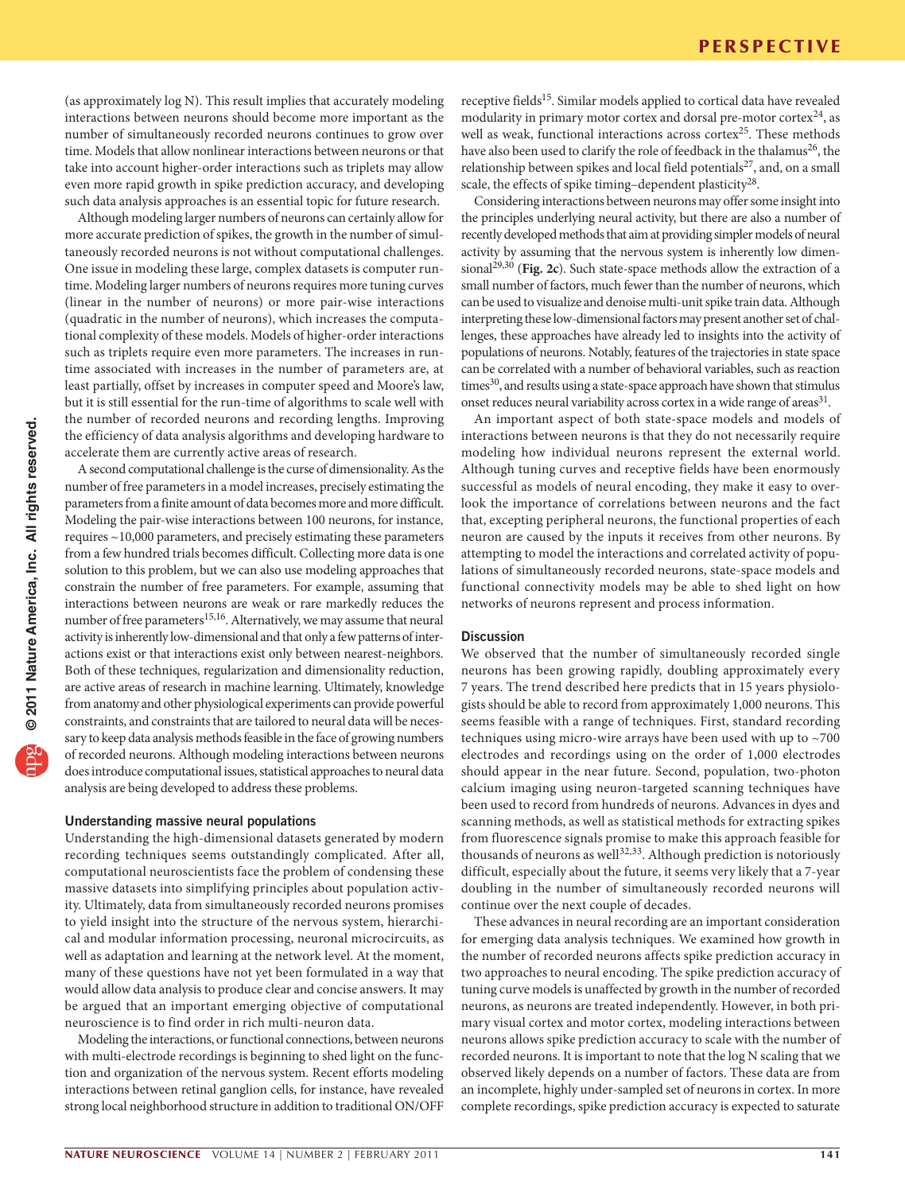(as approximately log N). This result implies that accurately modeling interactions between neurons should become more important as the number of simultaneously recorded neurons continues to grow over time. Models that allow nonlinear interactions between neurons or that take into account higher-order interactions such as triplets may allow even more rapid growth in spike prediction accuracy, and developing such data analysis approaches is an essential topic for future research.

Although modeling larger numbers of neurons can certainly allow for more accurate prediction of spikes, the growth in the number of simultaneously recorded neurons is not without computational challenges. One issue in modeling these large, complex datasets is computer runtime. Modeling larger numbers of neurons requires more tuning curves (linear in the number of neurons) or more pair-wise interactions (quadratic in the number of neurons), which increases the computational complexity of these models. Models of higher-order interactions such as triplets require even more parameters. The increases in runtime associated with increases in the number of parameters are, at least partially, offset by increases in computer speed and Moore's law, but it is still essential for the run-time of algorithms to scale well with the number of recorded neurons and recording lengths. Improving the efficiency of data analysis algorithms and developing hardware to accelerate them are currently active areas of research.

A second computational challenge is the curse of dimensionality. As the number of free parameters in a model increases, precisely estimating the parameters from a finite amount of data becomes more and more difficult. Modeling the pair-wise interactions between 100 neurons, for instance, requires ~10,000 parameters, and precisely estimating these parameters from a few hundred trials becomes difficult. Collecting more data is one solution to this problem, but we can also use modeling approaches that constrain the number of free parameters. For example, assuming that interactions between neurons are weak or rare markedly reduces the number of free parameters<sup>15,16</sup>. Alternatively, we may assume that neural activity is inherently low-dimensional and that only a few patterns of interactions exist or that interactions exist only between nearest-neighbors. Both of these techniques, regularization and dimensionality reduction, are active areas of research in machine learning. Ultimately, knowledge from anatomy and other physiological experiments can provide powerful constraints, and constraints that are tailored to neural data will be necessary to keep data analysis methods feasible in the face of growing numbers of recorded neurons. Although modeling interactions between neurons does introduce computational issues, statistical approaches to neural data analysis are being developed to address these problems.

# Understanding massive neural populations

Understanding the high-dimensional datasets generated by modern recording techniques seems outstandingly complicated. After all, computational neuroscientists face the problem of condensing these massive datasets into simplifying principles about population activity. Ultimately, data from simultaneously recorded neurons promises to yield insight into the structure of the nervous system, hierarchical and modular information processing, neuronal microcircuits, as well as adaptation and learning at the network level. At the moment, many of these questions have not yet been formulated in a way that would allow data analysis to produce clear and concise answers. It may be argued that an important emerging objective of computational neuroscience is to find order in rich multi-neuron data.

Modeling the interactions, or functional connections, between neurons with multi-electrode recordings is beginning to shed light on the function and organization of the nervous system. Recent efforts modeling interactions between retinal ganglion cells, for instance, have revealed strong local neighborhood structure in addition to traditional ON/OFF receptive fields<sup>[15](#page-3-11)</sup>. Similar models applied to cortical data have revealed modularity in primary motor cortex and dorsal pre-motor cortex $^{24}$  $^{24}$  $^{24}$ , as well as weak, functional interactions across cortex<sup>[25](#page-3-13)</sup>. These methods have also been used to clarify the role of feedback in the thalamus<sup>26</sup>, the relationship between spikes and local field potentials $27$ , and, on a small scale, the effects of spike timing–dependent plasticity<sup>28</sup>.

Considering interactions between neurons may offer some insight into the principles underlying neural activity, but there are also a number of recently developed methods that aim at providing simpler models of neural activity by assuming that the nervous system is inherently low dimensional29,30 (**[Fig. 2c](#page-1-1)**). Such state-space methods allow the extraction of a small number of factors, much fewer than the number of neurons, which can be used to visualize and denoise multi-unit spike train data. Although interpreting these low-dimensional factors may present another set of challenges, these approaches have already led to insights into the activity of populations of neurons. Notably, features of the trajectories in state space can be correlated with a number of behavioral variables, such as reaction times<sup>30</sup>, and results using a state-space approach have shown that stimulus onset reduces neural variability across cortex in a wide range of areas<sup>31</sup>.

An important aspect of both state-space models and models of interactions between neurons is that they do not necessarily require modeling how individual neurons represent the external world. Although tuning curves and receptive fields have been enormously successful as models of neural encoding, they make it easy to overlook the importance of correlations between neurons and the fact that, excepting peripheral neurons, the functional properties of each neuron are caused by the inputs it receives from other neurons. By attempting to model the interactions and correlated activity of populations of simultaneously recorded neurons, state-space models and functional connectivity models may be able to shed light on how networks of neurons represent and process information.

# **Discussion**

We observed that the number of simultaneously recorded single neurons has been growing rapidly, doubling approximately every 7 years. The trend described here predicts that in 15 years physiologists should be able to record from approximately 1,000 neurons. This seems feasible with a range of techniques. First, standard recording techniques using micro-wire arrays have been used with up to ~700 electrodes and recordings using on the order of 1,000 electrodes should appear in the near future. Second, population, two-photon calcium imaging using neuron-targeted scanning techniques have been used to record from hundreds of neurons. Advances in dyes and scanning methods, as well as statistical methods for extracting spikes from fluorescence signals promise to make this approach feasible for thousands of neurons as well<sup>32,33</sup>. Although prediction is notoriously difficult, especially about the future, it seems very likely that a 7-year doubling in the number of simultaneously recorded neurons will continue over the next couple of decades.

These advances in neural recording are an important consideration for emerging data analysis techniques. We examined how growth in the number of recorded neurons affects spike prediction accuracy in two approaches to neural encoding. The spike prediction accuracy of tuning curve models is unaffected by growth in the number of recorded neurons, as neurons are treated independently. However, in both primary visual cortex and motor cortex, modeling interactions between neurons allows spike prediction accuracy to scale with the number of recorded neurons. It is important to note that the log N scaling that we observed likely depends on a number of factors. These data are from an incomplete, highly under-sampled set of neurons in cortex. In more complete recordings, spike prediction accuracy is expected to saturate